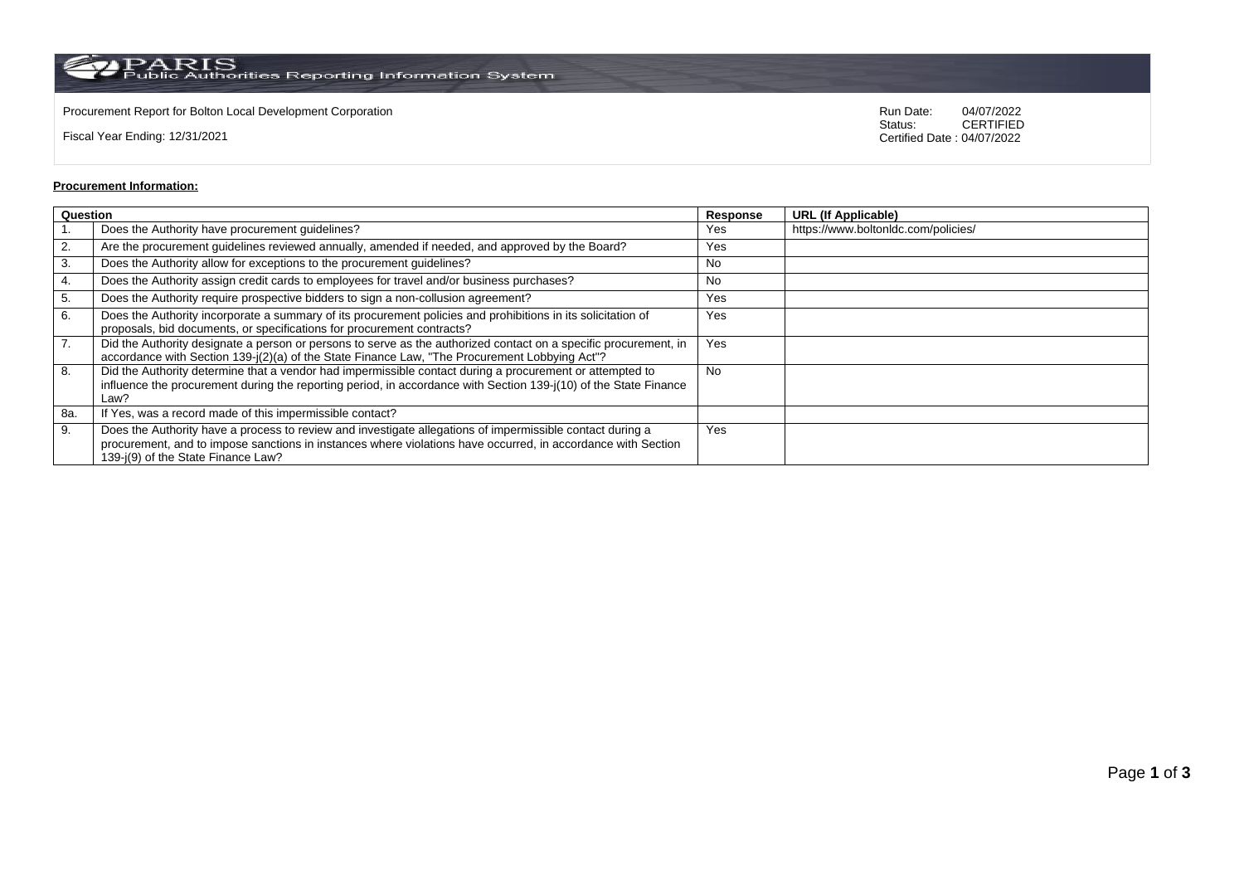$\rm PARS$  Public Authorities Reporting Information System

Procurement Report for Bolton Local Development Corporation **Run Date:** 04/07/2022 Run Date: 04/07/2022 Run Date: 04/07/2022

Fiscal Year Ending: 12/31/2021

04/07/2022<br>CERTIFIED Certified Date : 04/07/2022

## **Procurement Information:**

| Question         |                                                                                                                                                                                                                                                                 | Response | <b>URL (If Applicable)</b>          |
|------------------|-----------------------------------------------------------------------------------------------------------------------------------------------------------------------------------------------------------------------------------------------------------------|----------|-------------------------------------|
|                  | Does the Authority have procurement guidelines?                                                                                                                                                                                                                 | Yes      | https://www.boltonIdc.com/policies/ |
| 2.               | Are the procurement guidelines reviewed annually, amended if needed, and approved by the Board?                                                                                                                                                                 | Yes      |                                     |
| 3.               | Does the Authority allow for exceptions to the procurement guidelines?                                                                                                                                                                                          | No       |                                     |
| 4.               | Does the Authority assign credit cards to employees for travel and/or business purchases?                                                                                                                                                                       | No       |                                     |
| 5.               | Does the Authority require prospective bidders to sign a non-collusion agreement?                                                                                                                                                                               | Yes      |                                     |
| 6.               | Does the Authority incorporate a summary of its procurement policies and prohibitions in its solicitation of<br>proposals, bid documents, or specifications for procurement contracts?                                                                          | Yes      |                                     |
| $\overline{7}$ . | Did the Authority designate a person or persons to serve as the authorized contact on a specific procurement, in<br>accordance with Section 139-j(2)(a) of the State Finance Law, "The Procurement Lobbying Act"?                                               | Yes      |                                     |
| 8.               | Did the Authority determine that a vendor had impermissible contact during a procurement or attempted to<br>influence the procurement during the reporting period, in accordance with Section 139-j(10) of the State Finance<br>Law?                            | No       |                                     |
| 8a.              | If Yes, was a record made of this impermissible contact?                                                                                                                                                                                                        |          |                                     |
| 9.               | Does the Authority have a process to review and investigate allegations of impermissible contact during a<br>procurement, and to impose sanctions in instances where violations have occurred, in accordance with Section<br>139-j(9) of the State Finance Law? | Yes      |                                     |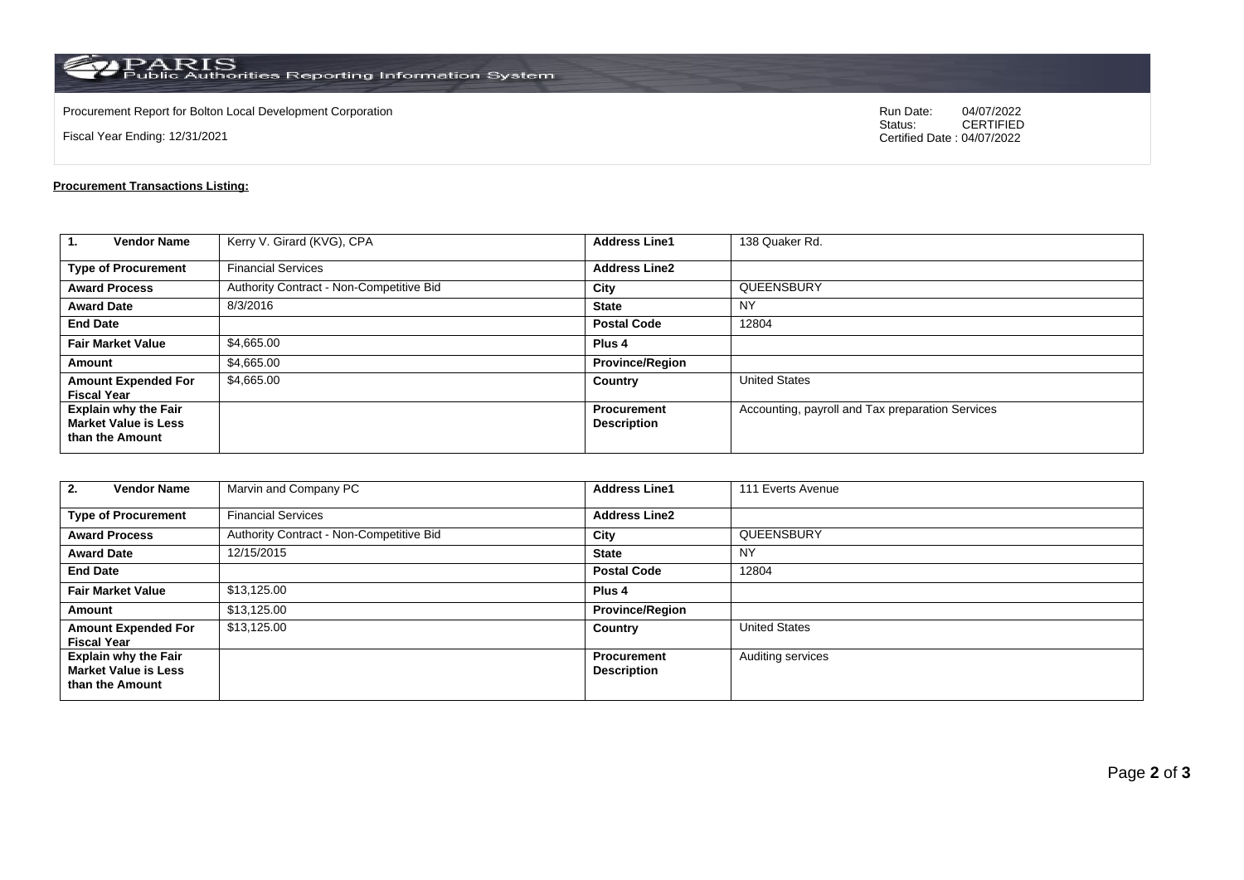$\rm PARS$  Public Authorities Reporting Information System

Procurement Report for Bolton Local Development Corporation **Run Date:** 04/07/2022 Run Date: 04/07/2022 Run Date: 04/07/2022

Fiscal Year Ending: 12/31/2021

04/07/2022<br>CERTIFIED Certified Date : 04/07/2022

## **Procurement Transactions Listing:**

| 1.<br><b>Vendor Name</b>                                                      | Kerry V. Girard (KVG), CPA               | <b>Address Line1</b>                     | 138 Quaker Rd.                                   |  |
|-------------------------------------------------------------------------------|------------------------------------------|------------------------------------------|--------------------------------------------------|--|
| <b>Type of Procurement</b>                                                    | <b>Financial Services</b>                | <b>Address Line2</b>                     |                                                  |  |
| <b>Award Process</b>                                                          | Authority Contract - Non-Competitive Bid | City                                     | QUEENSBURY                                       |  |
| <b>Award Date</b>                                                             | 8/3/2016                                 | <b>State</b>                             | NY                                               |  |
| <b>End Date</b>                                                               |                                          | <b>Postal Code</b>                       | 12804                                            |  |
| <b>Fair Market Value</b>                                                      | \$4,665.00                               | Plus <sub>4</sub>                        |                                                  |  |
| Amount                                                                        | \$4,665.00                               | <b>Province/Region</b>                   |                                                  |  |
| <b>Amount Expended For</b><br><b>Fiscal Year</b>                              | \$4,665.00                               | Country                                  | <b>United States</b>                             |  |
| <b>Explain why the Fair</b><br><b>Market Value is Less</b><br>than the Amount |                                          | <b>Procurement</b><br><b>Description</b> | Accounting, payroll and Tax preparation Services |  |

| <b>Vendor Name</b><br>2.                                                      | Marvin and Company PC                    | <b>Address Line1</b>                     | 111 Everts Avenue    |
|-------------------------------------------------------------------------------|------------------------------------------|------------------------------------------|----------------------|
| <b>Type of Procurement</b>                                                    | <b>Financial Services</b>                | <b>Address Line2</b>                     |                      |
| <b>Award Process</b>                                                          | Authority Contract - Non-Competitive Bid | City                                     | QUEENSBURY           |
| <b>Award Date</b>                                                             | 12/15/2015                               | <b>State</b>                             | <b>NY</b>            |
| <b>End Date</b>                                                               |                                          | <b>Postal Code</b>                       | 12804                |
| <b>Fair Market Value</b>                                                      | \$13,125.00                              | Plus <sub>4</sub>                        |                      |
| Amount                                                                        | \$13,125.00                              | <b>Province/Region</b>                   |                      |
| <b>Amount Expended For</b><br><b>Fiscal Year</b>                              | \$13,125.00                              | Country                                  | <b>United States</b> |
| <b>Explain why the Fair</b><br><b>Market Value is Less</b><br>than the Amount |                                          | <b>Procurement</b><br><b>Description</b> | Auditing services    |